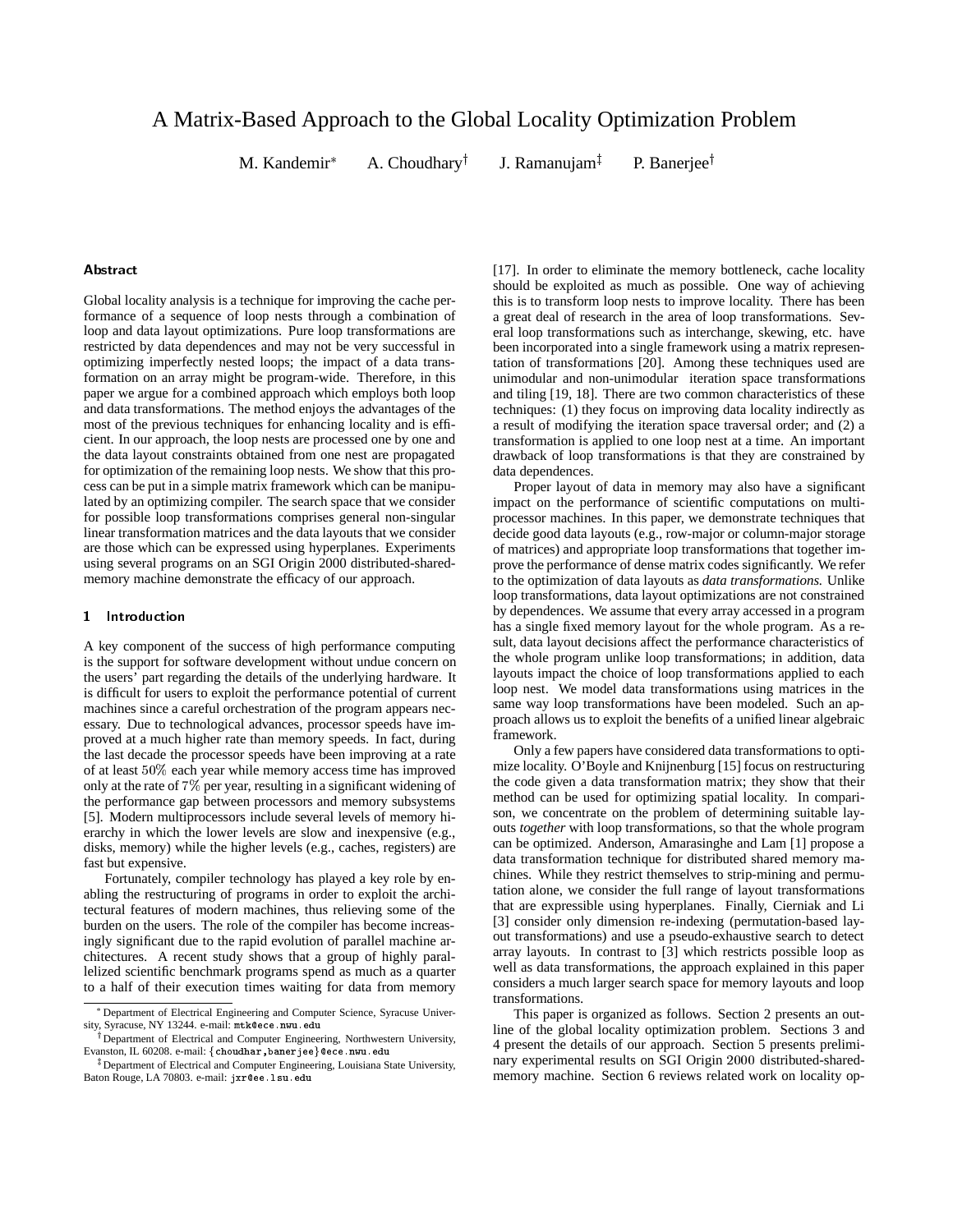# A Matrix-Based Approach to the Global Locality Optimization Problem

M. Kandemir

A. Choudhary<sup> $\dagger$ </sup> J. Ramanujam $^{\ddagger}$ 

P. Banerjee<sup> $\dagger$ </sup>

### Abstract

Global locality analysis is a technique for improving the cache performance of a sequence of loop nests through a combination of loop and data layout optimizations. Pure loop transformations are restricted by data dependences and may not be very successful in optimizing imperfectly nested loops; the impact of a data transformation on an array might be program-wide. Therefore, in this paper we argue for a combined approach which employs both loop and data transformations. The method enjoys the advantages of the most of the previous techniques for enhancing locality and is efficient. In our approach, the loop nests are processed one by one and the data layout constraints obtained from one nest are propagated for optimization of the remaining loop nests. We show that this process can be put in a simple matrix framework which can be manipulated by an optimizing compiler. The search space that we consider for possible loop transformations comprises general non-singular linear transformation matrices and the data layouts that we consider are those which can be expressed using hyperplanes. Experiments using several programs on an SGI Origin 2000 distributed-sharedmemory machine demonstrate the efficacy of our approach.

# 1 Introduction

A key component of the success of high performance computing is the support for software development without undue concern on the users' part regarding the details of the underlying hardware. It is difficult for users to exploit the performance potential of current machines since a careful orchestration of the program appears necessary. Due to technological advances, processor speeds have improved at a much higher rate than memory speeds. In fact, during the last decade the processor speeds have been improving at a rate of at least 50% each year while memory access time has improved only at the rate of 7% per year, resulting in a significant widening of the performance gap between processors and memory subsystems [5]. Modern multiprocessors include several levels of memory hierarchy in which the lower levels are slow and inexpensive (e.g., disks, memory) while the higher levels (e.g., caches, registers) are fast but expensive.

Fortunately, compiler technology has played a key role by enabling the restructuring of programs in order to exploit the architectural features of modern machines, thus relieving some of the burden on the users. The role of the compiler has become increasingly significant due to the rapid evolution of parallel machine architectures. A recent study shows that a group of highly parallelized scientific benchmark programs spend as much as a quarter to a half of their execution times waiting for data from memory

[17]. In order to eliminate the memory bottleneck, cache locality should be exploited as much as possible. One way of achieving this is to transform loop nests to improve locality. There has been a great deal of research in the area of loop transformations. Several loop transformations such as interchange, skewing, etc. have been incorporated into a single framework using a matrix representation of transformations [20]. Among these techniques used are unimodular and non-unimodular iteration space transformations and tiling [19, 18]. There are two common characteristics of these techniques: (1) they focus on improving data locality indirectly as a result of modifying the iteration space traversal order; and (2) a transformation is applied to one loop nest at a time. An important drawback of loop transformations is that they are constrained by data dependences.

Proper layout of data in memory may also have a significant impact on the performance of scientific computations on multiprocessor machines. In this paper, we demonstrate techniques that decide good data layouts (e.g., row-major or column-major storage of matrices) and appropriate loop transformations that together improve the performance of dense matrix codes significantly. We refer to the optimization of data layouts as *data transformations.* Unlike loop transformations, data layout optimizations are not constrained by dependences. We assume that every array accessed in a program has a single fixed memory layout for the whole program. As a result, data layout decisions affect the performance characteristics of the whole program unlike loop transformations; in addition, data layouts impact the choice of loop transformations applied to each loop nest. We model data transformations using matrices in the same way loop transformations have been modeled. Such an approach allows us to exploit the benefits of a unified linear algebraic framework.

Only a few papers have considered data transformations to optimize locality. O'Boyle and Knijnenburg [15] focus on restructuring the code given a data transformation matrix; they show that their method can be used for optimizing spatial locality. In comparison, we concentrate on the problem of determining suitable layouts *together* with loop transformations, so that the whole program can be optimized. Anderson, Amarasinghe and Lam [1] propose a data transformation technique for distributed shared memory machines. While they restrict themselves to strip-mining and permutation alone, we consider the full range of layout transformations that are expressible using hyperplanes. Finally, Cierniak and Li [3] consider only dimension re-indexing (permutation-based layout transformations) and use a pseudo-exhaustive search to detect array layouts. In contrast to [3] which restricts possible loop as well as data transformations, the approach explained in this paper considers a much larger search space for memory layouts and loop transformations.

This paper is organized as follows. Section 2 presents an outline of the global locality optimization problem. Sections 3 and 4 present the details of our approach. Section 5 presents preliminary experimental results on SGI Origin <sup>2000</sup> distributed-sharedmemory machine. Section 6 reviews related work on locality op-

Department of Electrical Engineering and Computer Science, Syracuse University, Syracuse, NY 13244. e-mail: mtk@ece.nwu.edu

<sup>&</sup>lt;sup>†</sup>Department of Electrical and Computer Engineering, Northwestern University, Evanston, IL 60208. e-mail: {choudhar,banerjee}@ece.nwu.edu

<sup>&</sup>lt;sup>‡</sup> Department of Electrical and Computer Engineering, Louisiana State University, Baton Rouge, LA 70803. e-mail: jxr@ee.lsu.edu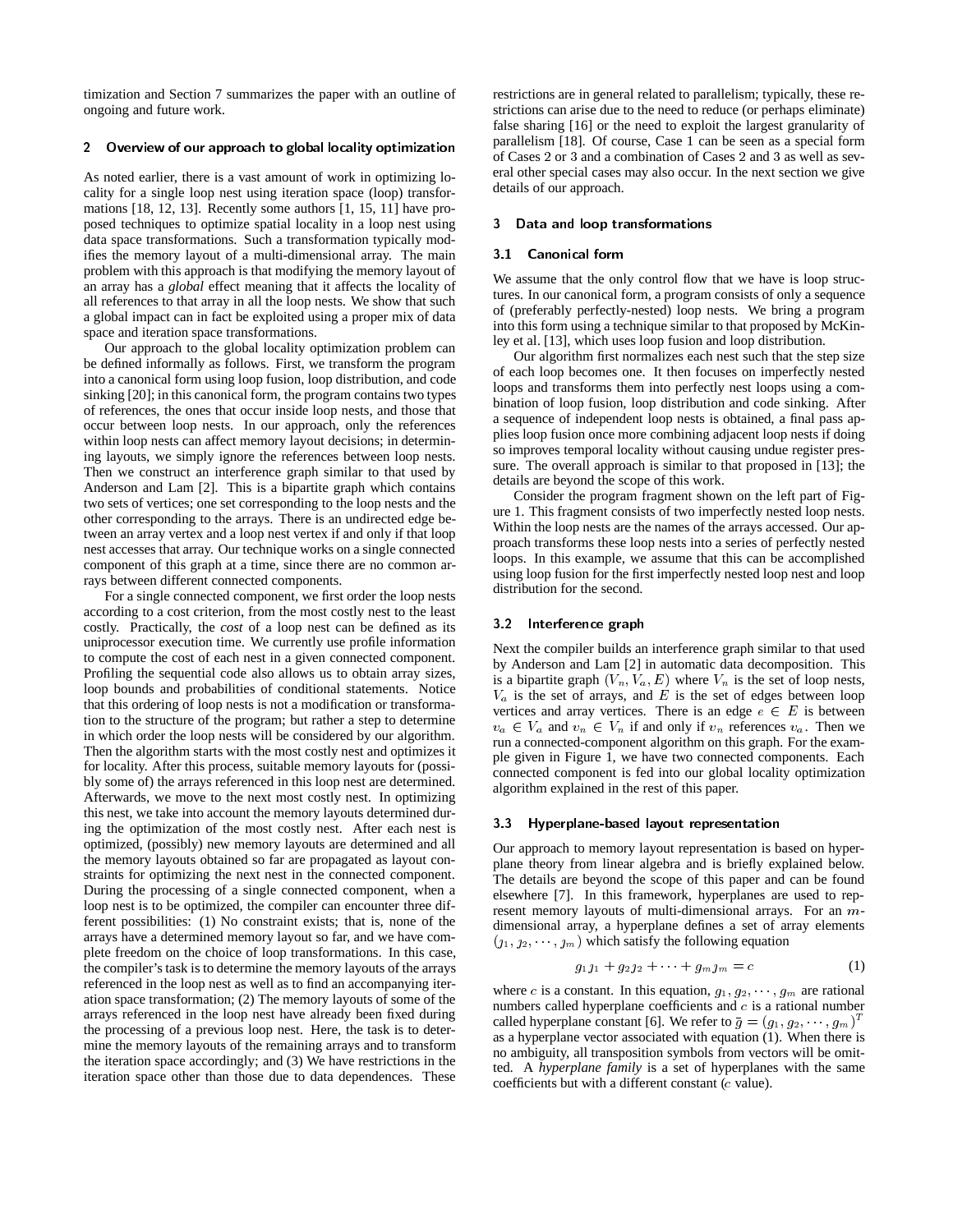timization and Section 7 summarizes the paper with an outline of ongoing and future work.

# 2 Overview of our approach to global locality optimization

As noted earlier, there is a vast amount of work in optimizing locality for a single loop nest using iteration space (loop) transformations [18, 12, 13]. Recently some authors [1, 15, 11] have proposed techniques to optimize spatial locality in a loop nest using data space transformations. Such a transformation typically modifies the memory layout of a multi-dimensional array. The main problem with this approach is that modifying the memory layout of an array has a *global* effect meaning that it affects the locality of all references to that array in all the loop nests. We show that such a global impact can in fact be exploited using a proper mix of data space and iteration space transformations.

Our approach to the global locality optimization problem can be defined informally as follows. First, we transform the program into a canonical form using loop fusion, loop distribution, and code sinking [20]; in this canonical form, the program contains two types of references, the ones that occur inside loop nests, and those that occur between loop nests. In our approach, only the references within loop nests can affect memory layout decisions; in determining layouts, we simply ignore the references between loop nests. Then we construct an interference graph similar to that used by Anderson and Lam [2]. This is a bipartite graph which contains two sets of vertices; one set corresponding to the loop nests and the other corresponding to the arrays. There is an undirected edge between an array vertex and a loop nest vertex if and only if that loop nest accesses that array. Our technique works on a single connected component of this graph at a time, since there are no common arrays between different connected components.

For a single connected component, we first order the loop nests according to a cost criterion, from the most costly nest to the least costly. Practically, the *cost* of a loop nest can be defined as its uniprocessor execution time. We currently use profile information to compute the cost of each nest in a given connected component. Profiling the sequential code also allows us to obtain array sizes, loop bounds and probabilities of conditional statements. Notice that this ordering of loop nests is not a modification or transformation to the structure of the program; but rather a step to determine in which order the loop nests will be considered by our algorithm. Then the algorithm starts with the most costly nest and optimizes it for locality. After this process, suitable memory layouts for (possibly some of) the arrays referenced in this loop nest are determined. Afterwards, we move to the next most costly nest. In optimizing this nest, we take into account the memory layouts determined during the optimization of the most costly nest. After each nest is optimized, (possibly) new memory layouts are determined and all the memory layouts obtained so far are propagated as layout constraints for optimizing the next nest in the connected component. During the processing of a single connected component, when a loop nest is to be optimized, the compiler can encounter three different possibilities: (1) No constraint exists; that is, none of the arrays have a determined memory layout so far, and we have complete freedom on the choice of loop transformations. In this case, the compiler's task is to determine the memory layouts of the arrays referenced in the loop nest as well as to find an accompanying iteration space transformation; (2) The memory layouts of some of the arrays referenced in the loop nest have already been fixed during the processing of a previous loop nest. Here, the task is to determine the memory layouts of the remaining arrays and to transform the iteration space accordingly; and (3) We have restrictions in the iteration space other than those due to data dependences. These

restrictions are in general related to parallelism; typically, these restrictions can arise due to the need to reduce (or perhaps eliminate) false sharing [16] or the need to exploit the largest granularity of parallelism [18]. Of course, Case <sup>1</sup> can be seen as a special form of Cases <sup>2</sup> or <sup>3</sup> and a combination of Cases <sup>2</sup> and <sup>3</sup> as well as several other special cases may also occur. In the next section we give details of our approach.

### 3 Data and loop transformations

# 3.1 Canonical form

We assume that the only control flow that we have is loop structures. In our canonical form, a program consists of only a sequence of (preferably perfectly-nested) loop nests. We bring a program into this form using a technique similar to that proposed by McKinley et al. [13], which uses loop fusion and loop distribution.

Our algorithm first normalizes each nest such that the step size of each loop becomes one. It then focuses on imperfectly nested loops and transforms them into perfectly nest loops using a combination of loop fusion, loop distribution and code sinking. After a sequence of independent loop nests is obtained, a final pass applies loop fusion once more combining adjacent loop nests if doing so improves temporal locality without causing undue register pressure. The overall approach is similar to that proposed in [13]; the details are beyond the scope of this work.

Consider the program fragment shown on the left part of Figure 1. This fragment consists of two imperfectly nested loop nests. Within the loop nests are the names of the arrays accessed. Our approach transforms these loop nests into a series of perfectly nested loops. In this example, we assume that this can be accomplished using loop fusion for the first imperfectly nested loop nest and loop distribution for the second.

# 3.2 Interference graph

Next the compiler builds an interference graph similar to that used by Anderson and Lam [2] in automatic data decomposition. This is a bipartite graph  $(V_n, V_a, E)$  where  $V_n$  is the set of loop nests,  $V_a$  is the set of arrays, and E is the set of edges between loop vertices and array vertices. There is an edge  $e \in E$  is between  $v_a \in V_a$  and  $v_n \in V_n$  if and only if  $v_n$  references  $v_a$ . Then we run a connected-component algorithm on this graph. For the example given in Figure 1, we have two connected components. Each connected component is fed into our global locality optimization algorithm explained in the rest of this paper.

# 3.3 Hyperplane-based layout representation

Our approach to memory layout representation is based on hyperplane theory from linear algebra and is briefly explained below. The details are beyond the scope of this paper and can be found elsewhere [7]. In this framework, hyperplanes are used to represent memory layouts of multi-dimensional arrays. For an  $m$ dimensional array, a hyperplane defines a set of array elements  $(j_1, j_2, \dots, j_m)$  which satisfy the following equation

$$
g_1 j_1 + g_2 j_2 + \dots + g_m j_m = c \tag{1}
$$

where c is a constant. In this equation,  $g_1, g_2, \dots, g_m$  are rational numbers called hyperplane coefficients and  $c$  is a rational number called hyperplane constant [6]. We refer to  $\bar{g} = (g_1, g_2, \dots, g_m)^T$ as a hyperplane vector associated with equation (1). When there is no ambiguity, all transposition symbols from vectors will be omitted. A *hyperplane family* is a set of hyperplanes with the same coefficients but with a different constant (c value).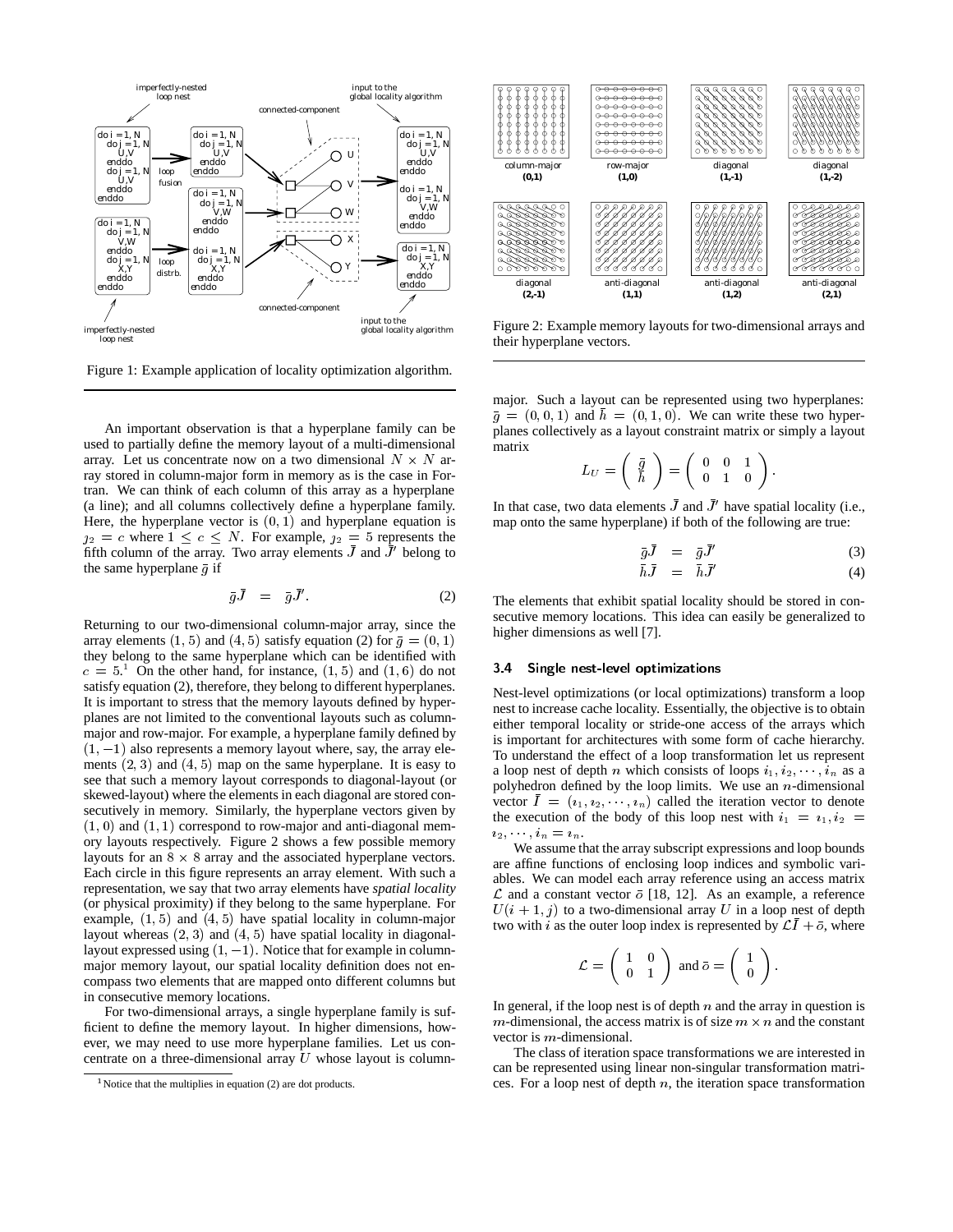

Figure 1: Example application of locality optimization algorithm.

An important observation is that a hyperplane family can be used to partially define the memory layout of a multi-dimensional array. Let us concentrate now on a two dimensional  $N \times N$  array stored in column-major form in memory as is the case in Fortran. We can think of each column of this array as a hyperplane (a line); and all columns collectively define a hyperplane family. Here, the hyperplane vector is  $(0, 1)$  and hyperplane equation is  $j_2 = c$  where  $1 \leq c \leq N$ . For example,  $j_2 = 5$  represents the fifth column of the array. Two array elements  $J$  and  $J'$  belong to the same hyperplane  $\bar{g}$  if

$$
\bar{g}\bar{J} = \bar{g}\bar{J}'.
$$
 (2)

Returning to our two-dimensional column-major array, since the array elements (1, 5) and (4, 5) satisfy equation (2) for  $\bar{q} = (0, 1)$ they belong to the same hyperplane which can be identified with  $c = 5<sup>1</sup>$  On the other hand, for instance,  $(1, 5)$  and  $(1, 6)$  do not satisfy equation (2), therefore, they belong to different hyperplanes. It is important to stress that the memory layouts defined by hyperplanes are not limited to the conventional layouts such as columnmajor and row-major. For example, a hyperplane family defined by  $(1, -1)$  also represents a memory layout where, say, the array elements  $(2, 3)$  and  $(4, 5)$  map on the same hyperplane. It is easy to see that such a memory layout corresponds to diagonal-layout (or skewed-layout) where the elements in each diagonal are stored consecutively in memory. Similarly, the hyperplane vectors given by  $(1, 0)$  and  $(1, 1)$  correspond to row-major and anti-diagonal memory layouts respectively. Figure 2 shows a few possible memory layouts for an  $8 \times 8$  array and the associated hyperplane vectors. Each circle in this figure represents an array element. With such a representation, we say that two array elements have *spatial locality* (or physical proximity) if they belong to the same hyperplane. For example,  $(1, 5)$  and  $(4, 5)$  have spatial locality in column-major layout whereas  $(2, 3)$  and  $(4, 5)$  have spatial locality in diagonallayout expressed using  $(1, -1)$ . Notice that for example in columnmajor memory layout, our spatial locality definition does not encompass two elements that are mapped onto different columns but in consecutive memory locations.

For two-dimensional arrays, a single hyperplane family is sufficient to define the memory layout. In higher dimensions, however, we may need to use more hyperplane families. Let us concentrate on a three-dimensional array  $U$  whose layout is column-



Figure 2: Example memory layouts for two-dimensional arrays and their hyperplane vectors.

major. Such a layout can be represented using two hyperplanes:  $\bar{g} = (0, 0, 1)$  and  $\bar{h} = (0, 1, 0)$ . We can write these two hyperplanes collectively as a layout constraint matrix or simply a layout matrix

$$
L_U=\left(\begin{array}{c}\bar{g}\\\bar{h}\end{array}\right)=\left(\begin{array}{ccc}0&0&1\\0&1&0\end{array}\right).
$$

In that case, two data elements  $J$  and  $J'$  have spatial locality (i.e., map onto the same hyperplane) if both of the following are true:

$$
\begin{array}{rcl}\n\bar{g}\bar{J} & = & \bar{g}\bar{J}' & \\
\bar{h}\bar{J} & = & \bar{h}\bar{J}' & \\
\end{array} \tag{3}
$$

The elements that exhibit spatial locality should be stored in consecutive memory locations. This idea can easily be generalized to higher dimensions as well [7].

# 3.4 Single nest-level optimizations

Nest-level optimizations (or local optimizations) transform a loop nest to increase cache locality. Essentially, the objective is to obtain either temporal locality or stride-one access of the arrays which is important for architectures with some form of cache hierarchy. To understand the effect of a loop transformation let us represent a loop nest of depth *n* which consists of loops  $i_1, i_2, \dots, i_n$  as a polyhedron defined by the loop limits. We use an  $n$ -dimensional vector  $\bar{I} = (i_1, i_2, \dots, i_n)$  called the iteration vector to denote the execution of the body of this loop nest with  $i_1 = i_1, i_2 =$  $i_2$ ,  $\ldots$ ,  $i_n = i_n$ .

We assume that the array subscript expressions and loop bounds are affine functions of enclosing loop indices and symbolic variables. We can model each array reference using an access matrix  $\mathcal L$  and a constant vector  $\bar{\sigma}$  [18, 12]. As an example, a reference  $U(i + 1, j)$  to a two-dimensional array U in a loop nest of depth two with i as the outer loop index is represented by  $\mathcal{L}\bar{I} + \bar{\sigma}$ , where

$$
\mathcal{L} = \left( \begin{array}{cc} 1 & 0 \\ 0 & 1 \end{array} \right) \text{ and } \bar{o} = \left( \begin{array}{c} 1 \\ 0 \end{array} \right).
$$

In general, if the loop nest is of depth  $n$  and the array in question is *m*-dimensional, the access matrix is of size  $m \times n$  and the constant vector is <sup>m</sup>-dimensional.

The class of iteration space transformations we are interested in can be represented using linear non-singular transformation matrices. For a loop nest of depth  $n$ , the iteration space transformation

<sup>1</sup> Notice that the multiplies in equation (2) are dot products.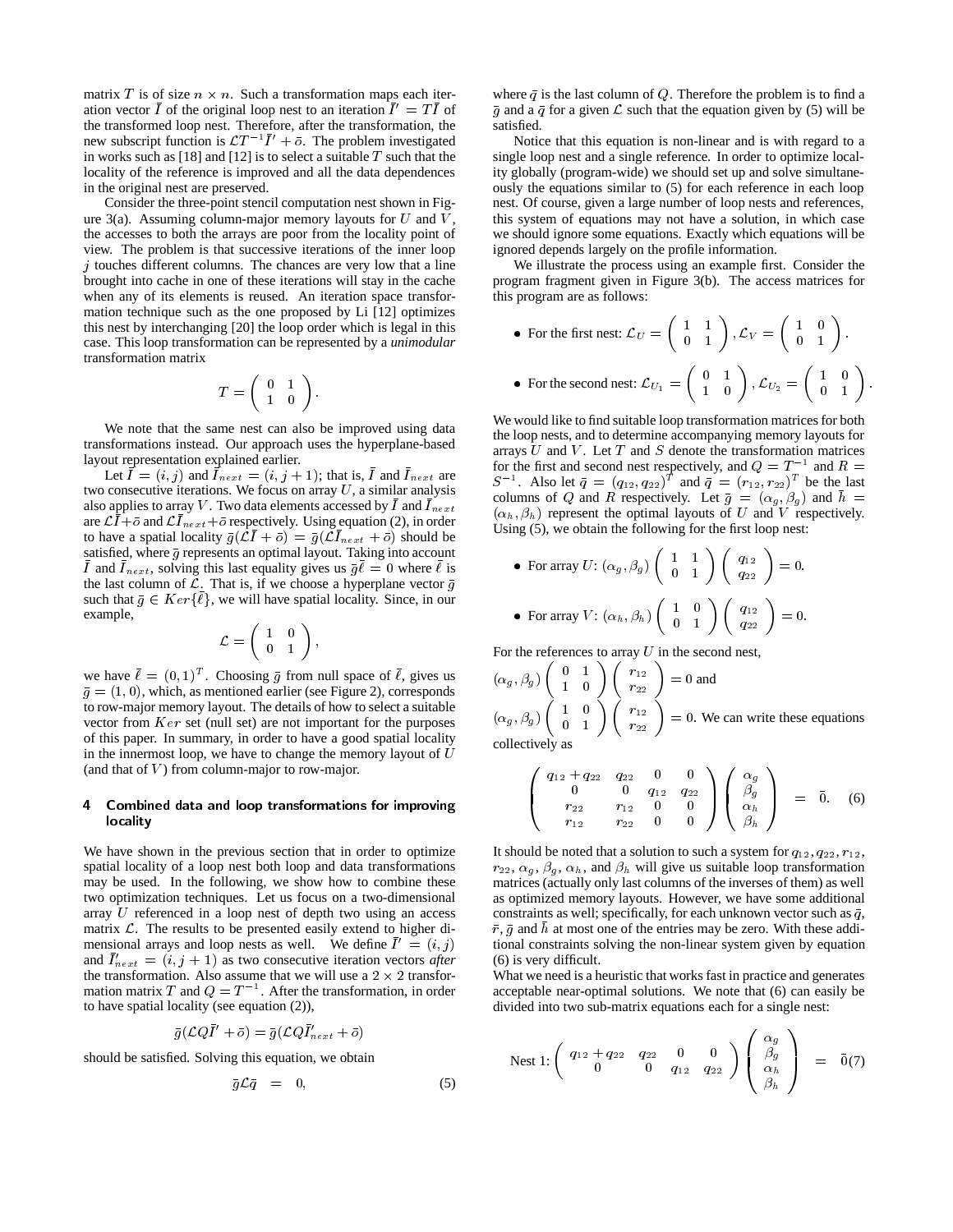matrix T is of size  $n \times n$ . Such a transformation maps each iteration vector *I* of the original loop nest to an iteration  $I' = TI$  of  $\bar{g}$ the transformed loop nest. Therefore, after the transformation, the new subscript function is  $\mathcal{L}T^{-1}\bar{I}' + \bar{o}$ . The problem investigated in works such as [18] and [12] is to select a suitable  $T$  such that the locality of the reference is improved and all the data dependences in the original nest are preserved.

Consider the three-point stencil computation nest shown in Figure 3(a). Assuming column-major memory layouts for  $U$  and  $V$ , the accesses to both the arrays are poor from the locality point of view. The problem is that successive iterations of the inner loop  $j$  touches different columns. The chances are very low that a line brought into cache in one of these iterations will stay in the cache when any of its elements is reused. An iteration space transformation technique such as the one proposed by Li [12] optimizes this nest by interchanging [20] the loop order which is legal in this case. This loop transformation can be represented by a *unimodular* transformation matrix

$$
T=\left(\begin{array}{cc} 0 & 1 \\ 1 & 0 \end{array}\right).
$$

We note that the same nest can also be improved using data transformations instead. Our approach uses the hyperplane-based layout representation explained earlier.

Let  $I = (i, j)$  and  $I_{next} = (i, j + 1)$ ; that is, I and  $I_{next}$  are two consecutive iterations. We focus on array  $U$ , a similar analysis also applies to array V. Two data elements accessed by I and  $I_{next}$ are  $\mathcal{L}I + \bar{\sigma}$  and  $\mathcal{L}I_{next} + \bar{\sigma}$  respectively. Using equation (2), in order to have a spatial locality  $\bar{g}(\mathcal{L}\bar{I} + \bar{o}) = \bar{g}(\mathcal{L}\bar{I}_{next} + \bar{o})$  should be satisfied, where  $\bar{g}$  represents an optimal layout. Taking into account I and  $I_{next}$ , solving this last equality gives us  $\bar{g}\ell = 0$  where  $\ell$  is the last column of  $\mathcal{L}$ . That is, if we choose a hyperplane vector  $\bar{g}$ such that  $\bar{g} \in Ker\{\ell\}$ , we will have spatial locality. Since, in our example,

$$
\mathcal{L}=\left(\begin{array}{cc} 1 & 0 \\ 0 & 1 \end{array}\right),
$$

we have  $\ell = (0, 1)^T$ . Choosing  $\bar{g}$  from null space of  $\ell$ , gives us  $\bar{g} = (1, 0)$ , which, as mentioned earlier (see Figure 2), corresponds to row-major memory layout. The details of how to select a suitable vector from Ker set (null set) are not important for the purposes of this paper. In summary, in order to have a good spatial locality in the innermost loop, we have to change the memory layout of  $U$ (and that of  $V$ ) from column-major to row-major.

# 4 Combined data and loop transformations for improving locality

We have shown in the previous section that in order to optimize spatial locality of a loop nest both loop and data transformations may be used. In the following, we show how to combine these two optimization techniques. Let us focus on a two-dimensional array <sup>U</sup> referenced in a loop nest of depth two using an access matrix  $\mathcal{L}$ . The results to be presented easily extend to higher dimensional arrays and loop nests as well. We define  $I' = (i, j)$  t and  $I'_{next} = (i, j + 1)$  as two consecutive iteration vectors *after* the transformation. Also assume that we will use a  $2 \times 2$  transformation matrix T and  $Q = T^{-1}$ . After the transformation, in order to have spatial locality (see equation (2)),

$$
\bar{g}(\mathcal{L}QI' + \bar{o}) = \bar{g}(\mathcal{L}QI'_{next} + \bar{o})
$$

should be satisfied. Solving this equation, we obtain

$$
\bar{g}\mathcal{L}\bar{q} = 0, \qquad (5)
$$

where  $\bar{q}$  is the last column of Q. Therefore the problem is to find a  $\bar{g}$  and a  $\bar{q}$  for a given  $\mathcal L$  such that the equation given by (5) will be satisfied.

Notice that this equation is non-linear and is with regard to a single loop nest and a single reference. In order to optimize locality globally (program-wide) we should set up and solve simultaneously the equations similar to (5) for each reference in each loop nest. Of course, given a large number of loop nests and references, this system of equations may not have a solution, in which case we should ignore some equations. Exactly which equations will be ignored depends largely on the profile information.

We illustrate the process using an example first. Consider the program fragment given in Figure 3(b). The access matrices for this program are as follows:

- For the first nest:  $\mathcal{L}_U = \begin{pmatrix} 1 & 1 \\ 0 & 1 \end{pmatrix}, \mathcal{L}_V$  $\begin{pmatrix} 1 & 1 \ 0 & 1 \end{pmatrix}$  ,  $\mathcal{L}_V = \left( \begin{array}{cc} 1 & 0 \ 0 & 1 \end{array} \right)$  .  $\begin{pmatrix} 1 & 0 \\ 0 & 1 \end{pmatrix}$ .
- For the second nest:  $\mathcal{L}_{U_1} = \begin{pmatrix} 0 & 1 \\ 1 & 0 \end{pmatrix}, \mathcal{L}_{U_2}$  $\begin{pmatrix} 0 & 1 \ 1 & 0 \end{pmatrix}$  ,  $\mathcal{L}_{U_2} = \left( \begin{array}{cc} 1 & 0 \ 0 & 1 \end{array} \right)$  .  $\begin{pmatrix} 1 & 0 \\ 0 & 1 \end{pmatrix}$ .

We would like to find suitable loop transformation matrices for both the loop nests, and to determine accompanying memory layouts for arrays  $U$  and  $V$ . Let  $T$  and  $S$  denote the transformation matrices for the first and second nest respectively, and  $Q = T^{-1}$  and  $R =$  $S^{-1}$ . Also let  $\bar{q} = (q_{12}, q_{22})^T$  and  $\bar{q} = (r_{12}, r_{22})^T$  be the last columns of Q and R respectively. Let  $\bar{g} = (\alpha_g, \beta_g)$  and  $\bar{h} =$  $(\alpha_h, \beta_h)$  represent the optimal layouts of U and V respectively. Using (5), we obtain the following for the first loop nest:

\n- For array 
$$
U: (\alpha_g, \beta_g) \left( \begin{array}{cc} 1 & 1 \\ 0 & 1 \end{array} \right) \left( \begin{array}{c} q_{12} \\ q_{22} \end{array} \right) = 0.
$$
\n- For array  $V: (\alpha_h, \beta_h) \left( \begin{array}{cc} 1 & 0 \\ 0 & 1 \end{array} \right) \left( \begin{array}{c} q_{12} \\ q_{22} \end{array} \right) = 0.$
\n

For the references to array  $U$  in the second nest,

$$
(\alpha_g, \beta_g) \begin{pmatrix} 0 & 1 \\ 1 & 0 \end{pmatrix} \begin{pmatrix} r_{12} \\ r_{22} \end{pmatrix} = 0 \text{ and}
$$
  

$$
(\alpha_g, \beta_g) \begin{pmatrix} 1 & 0 \\ 0 & 1 \end{pmatrix} \begin{pmatrix} r_{12} \\ r_{22} \end{pmatrix} = 0.
$$
 We can write these equations  
collectively as

$$
\begin{pmatrix}\nq_{12} + q_{22} & q_{22} & 0 & 0 \\
0 & 0 & q_{12} & q_{22} \\
r_{22} & r_{12} & 0 & 0 \\
r_{12} & r_{22} & 0 & 0\n\end{pmatrix}\n\begin{pmatrix}\n\alpha_g \\
\beta_g \\
\alpha_h \\
\beta_h\n\end{pmatrix} = \bar{0}.
$$
\n(6)

It should be noted that a solution to such a system for  $q_{12}$ ,  $q_{22}$ ,  $r_{12}$ ,  $r_{22}, \alpha_g, \beta_g, \alpha_h$ , and  $\beta_h$  will give us suitable loop transformation matrices (actually only last columns of the inverses of them) as well as optimized memory layouts. However, we have some additional constraints as well; specifically, for each unknown vector such as  $\bar{q}$ ,  $\bar{r}$ ,  $\bar{g}$  and h at most one of the entries may be zero. With these additional constraints solving the non-linear system given by equation (6) is very difficult.

What we need is a heuristic that works fast in practice and generates acceptable near-optimal solutions. We note that (6) can easily be divided into two sub-matrix equations each for a single nest:

Next 1:

\n
$$
\begin{pmatrix}\n q_{12} + q_{22} & q_{22} & 0 & 0 \\
 0 & 0 & q_{12} & q_{22}\n \end{pmatrix}\n \begin{pmatrix}\n \frac{\alpha_g}{\beta_g} \\
 \frac{\alpha_h}{\beta_h}\n \end{pmatrix}\n = \n \bar{0}(7)
$$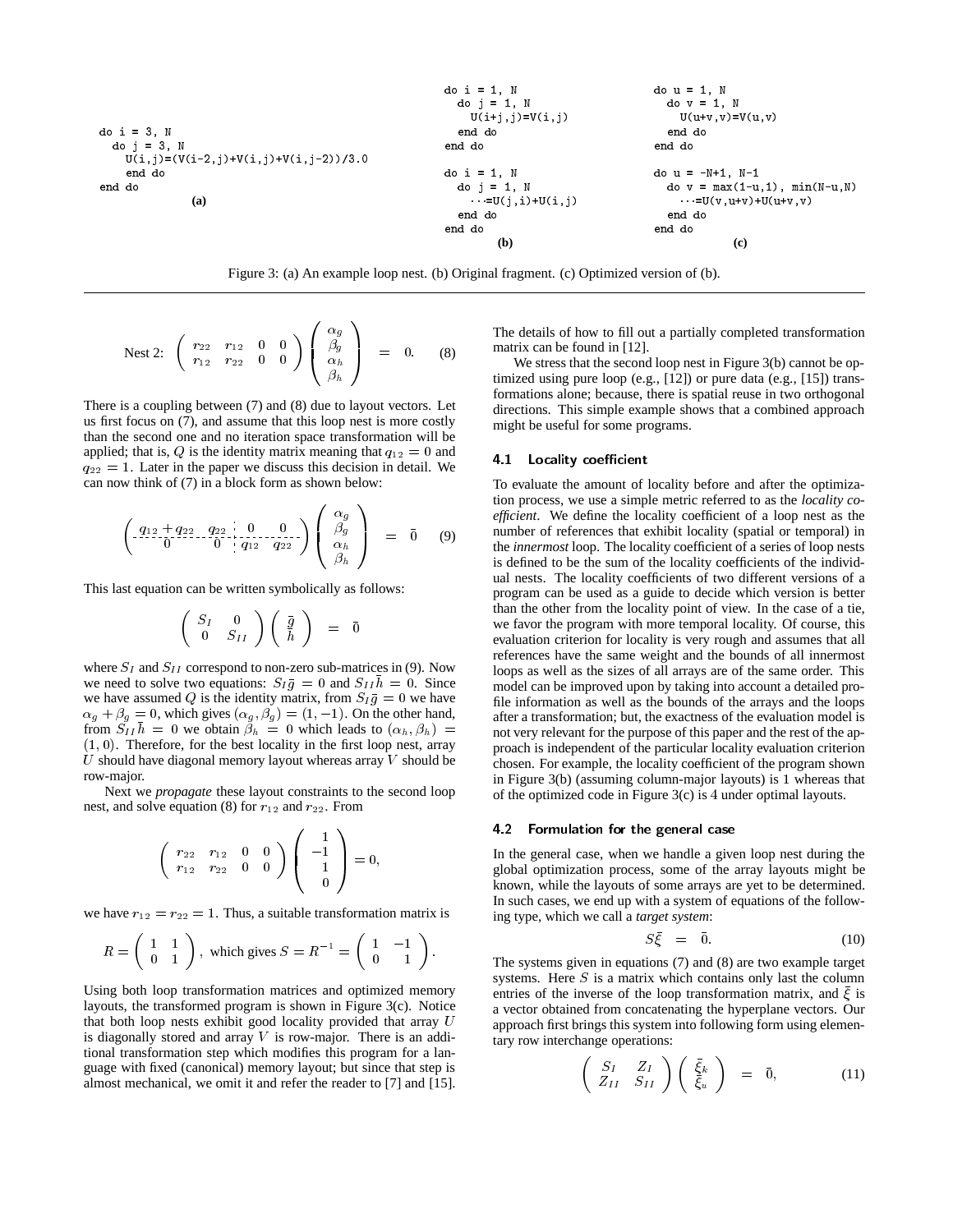do i = 3, N do j = 3, N U(i,j)=(V(i-2,j)+V(i,j)+V(i,j-2))/3.0 **(a)** do i = 1, N do j = 1, N U(i+j,j)=V(i,j) do i = 1, N do j = 1, N =U(j,i)+U(i,j) **(b)** do u = 1, N do v = 1, N U(u+v,v)=V(u,v) do u = -N+1, N-1 do v = max(1-u,1), min(N-u,N) =U(v,u+v)+U(u+v,v) **(c)**

Figure 3: (a) An example loop nest. (b) Original fragment. (c) Optimized version of (b).

Next 2:

\n
$$
\begin{pmatrix}\n r_{22} & r_{12} & 0 & 0 \\
 r_{12} & r_{22} & 0 & 0\n \end{pmatrix}\n \begin{pmatrix}\n \frac{\alpha_g}{\beta_g} \\
 \frac{\alpha_h}{\beta_h}\n \end{pmatrix} = 0.
$$
\n(8)

There is a coupling between (7) and (8) due to layout vectors. Let us first focus on (7), and assume that this loop nest is more costly than the second one and no iteration space transformation will be applied; that is, Q is the identity matrix meaning that  $q_{12} = 0$  and  $q_{22} = 1$ . Later in the paper we discuss this decision in detail. We can now think of (7) in a block form as shown below:

$$
\left(-\frac{q_{12}+q_{22}}{0}-\frac{q_{22}}{0}\cdot\frac{0}{q_{12}}-\frac{0}{q_{22}}\right)\begin{pmatrix}\alpha_g\\ \beta_g\\ \alpha_h\\ \beta_h\end{pmatrix} = \bar{0} \quad (9)
$$

This last equation can be written symbolically as follows:

$$
\left(\begin{array}{cc} S_I & 0 \\ 0 & S_{II} \end{array}\right)\left(\begin{array}{cc} \bar{g} \\ \bar{h} \end{array}\right) \;\;=\;\; \bar{0}
$$

where  $S_I$  and  $S_{II}$  correspond to non-zero sub-matrices in (9). Now we need to solve two equations:  $S_I \bar{g} = 0$  and  $S_{II} \bar{h} = 0$ . Since we have assumed Q is the identity matrix, from  $S_I \bar{g} = 0$  we have  $\alpha_g + \beta_g = 0$ , which gives  $(\alpha_g, \beta_g) = (1, -1)$ . On the other hand, from  $S_{II}h = 0$  we obtain  $\beta_h = 0$  which leads to  $(\alpha_h, \beta_h) =$  $(1, 0)$ . Therefore, for the best locality in the first loop nest, array  $U$  should have diagonal memory layout whereas array  $V$  should be row-major.

Next we *propagate* these layout constraints to the second loop nest, and solve equation (8) for  $r_{12}$  and  $r_{22}$ . From

 $\mathbf{1}$ 

$$
\left(\begin{array}{ccc} r_{22} & r_{12} & 0 & 0 \\ r_{12} & r_{22} & 0 & 0 \end{array}\right) \left(\begin{array}{c} 1 \\ -1 \\ 1 \\ 0 \end{array}\right) = 0,
$$

we have  $r_{12} = r_{22} = 1$ . Thus, a suitable transformation matrix is

$$
R = \begin{pmatrix} 1 & 1 \\ 0 & 1 \end{pmatrix}
$$
, which gives  $S = R^{-1} = \begin{pmatrix} 1 & -1 \\ 0 & 1 \end{pmatrix}$ . The

Using both loop transformation matrices and optimized memory layouts, the transformed program is shown in Figure 3(c). Notice that both loop nests exhibit good locality provided that array <sup>U</sup> is diagonally stored and array  $V$  is row-major. There is an additional transformation step which modifies this program for a language with fixed (canonical) memory layout; but since that step is almost mechanical, we omit it and refer the reader to [7] and [15]. The details of how to fill out a partially completed transformation matrix can be found in [12].

We stress that the second loop nest in Figure 3(b) cannot be optimized using pure loop (e.g., [12]) or pure data (e.g., [15]) transformations alone; because, there is spatial reuse in two orthogonal directions. This simple example shows that a combined approach might be useful for some programs.

### 4.1 Locality coefficient

To evaluate the amount of locality before and after the optimization process, we use a simple metric referred to as the *locality coefficient*. We define the locality coefficient of a loop nest as the number of references that exhibit locality (spatial or temporal) in the *innermost* loop. The locality coefficient of a series of loop nests is defined to be the sum of the locality coefficients of the individual nests. The locality coefficients of two different versions of a program can be used as a guide to decide which version is better than the other from the locality point of view. In the case of a tie, we favor the program with more temporal locality. Of course, this evaluation criterion for locality is very rough and assumes that all references have the same weight and the bounds of all innermost loops as well as the sizes of all arrays are of the same order. This model can be improved upon by taking into account a detailed profile information as well as the bounds of the arrays and the loops after a transformation; but, the exactness of the evaluation model is not very relevant for the purpose of this paper and the rest of the approach is independent of the particular locality evaluation criterion chosen. For example, the locality coefficient of the program shown in Figure 3(b) (assuming column-major layouts) is <sup>1</sup> whereas that of the optimized code in Figure 3(c) is <sup>4</sup> under optimal layouts.

#### 4.2 Formulation for the general case

In the general case, when we handle a given loop nest during the global optimization process, some of the array layouts might be known, while the layouts of some arrays are yet to be determined. In such cases, we end up with a system of equations of the following type, which we call a *target system*:

$$
S\bar{\xi} = \bar{0}.\tag{10}
$$

The systems given in equations (7) and (8) are two example target systems. Here  $S$  is a matrix which contains only last the column entries of the inverse of the loop transformation matrix, and  $\xi$  is a vector obtained from concatenating the hyperplane vectors. Our approach first brings this system into following form using elementary row interchange operations:

$$
\left(\begin{array}{cc} S_I & Z_I \\ Z_{II} & S_{II} \end{array}\right) \left(\begin{array}{c} \bar{\xi}_k \\ \bar{\xi}_u \end{array}\right) = \bar{0}, \qquad (11)
$$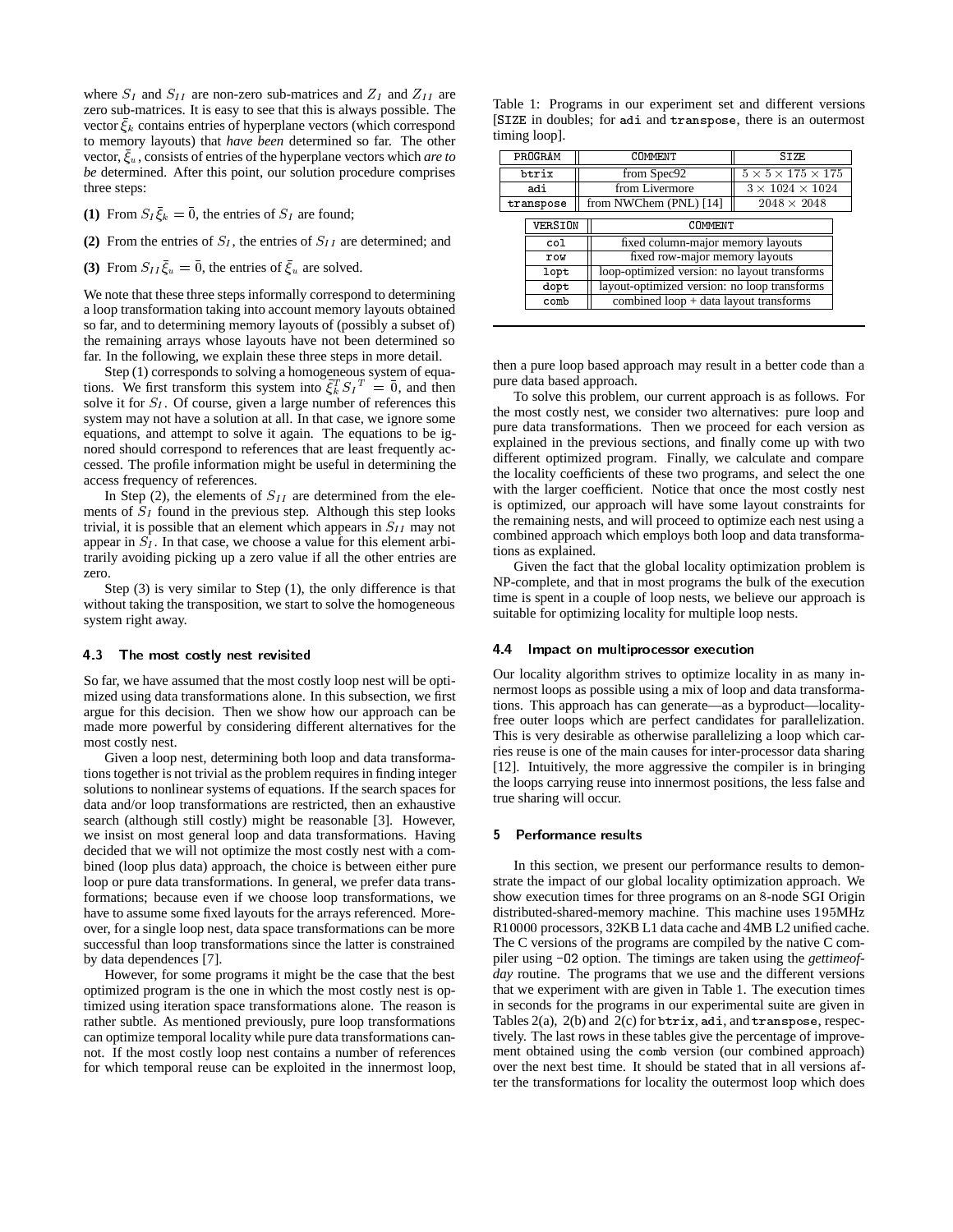where  $S_I$  and  $S_{II}$  are non-zero sub-matrices and  $Z_I$  and  $Z_{II}$  are zero sub-matrices. It is easy to see that this is always possible. The vector  $\xi_k$  contains entries of hyperplane vectors (which correspond to memory layouts) that *have been* determined so far. The other vector,  $\xi_u$ , consists of entries of the hyperplane vectors which *are to be* determined. After this point, our solution procedure comprises three steps:

**(1)** From  $S_I \xi_k = \overline{0}$ , the entries of  $S_I$  are found;

**(2)** From the entries of  $S_I$ , the entries of  $S_{II}$  are determined; and

**(3)** From  $S_{II}\xi_u = \overline{0}$ , the entries of  $\xi_u$  are solved.

We note that these three steps informally correspond to determining a loop transformation taking into account memory layouts obtained so far, and to determining memory layouts of (possibly a subset of) the remaining arrays whose layouts have not been determined so far. In the following, we explain these three steps in more detail.

Step (1) corresponds to solving a homogeneous system of equations. We first transform this system into  $\xi_k^T S_I^T = \overline{0}$ , and then solve it for  $S_I$ . Of course, given a large number of references this system may not have a solution at all. In that case, we ignore some equations, and attempt to solve it again. The equations to be ignored should correspond to references that are least frequently accessed. The profile information might be useful in determining the access frequency of references.

In Step (2), the elements of  $S_{II}$  are determined from the elements of  $S_I$  found in the previous step. Although this step looks trivial, it is possible that an element which appears in  $S_{II}$  may not appear in  $S_I$ . In that case, we choose a value for this element arbitrarily avoiding picking up a zero value if all the other entries are zero.

Step (3) is very similar to Step (1), the only difference is that without taking the transposition, we start to solve the homogeneous system right away.

#### 4.3 The most costly nest revisited

So far, we have assumed that the most costly loop nest will be optimized using data transformations alone. In this subsection, we first argue for this decision. Then we show how our approach can be made more powerful by considering different alternatives for the most costly nest.

Given a loop nest, determining both loop and data transformations together is not trivial as the problem requires in finding integer solutions to nonlinear systems of equations. If the search spaces for data and/or loop transformations are restricted, then an exhaustive search (although still costly) might be reasonable [3]. However, we insist on most general loop and data transformations. Having decided that we will not optimize the most costly nest with a combined (loop plus data) approach, the choice is between either pure loop or pure data transformations. In general, we prefer data transformations; because even if we choose loop transformations, we have to assume some fixed layouts for the arrays referenced. Moreover, for a single loop nest, data space transformations can be more successful than loop transformations since the latter is constrained by data dependences [7].

However, for some programs it might be the case that the best optimized program is the one in which the most costly nest is optimized using iteration space transformations alone. The reason is rather subtle. As mentioned previously, pure loop transformations can optimize temporal locality while pure data transformations cannot. If the most costly loop nest contains a number of references for which temporal reuse can be exploited in the innermost loop,

Table 1: Programs in our experiment set and different versions [SIZE in doubles; for adi and transpose, there is an outermost timing loop].

| PROGRAM   |         | COMMENT                                      | SIZE                                         |  |  |  |  |  |
|-----------|---------|----------------------------------------------|----------------------------------------------|--|--|--|--|--|
| btrix     |         | from Spec92                                  | $5 \times 5 \times 175 \times 175$           |  |  |  |  |  |
| adi       |         | from Livermore                               | $3 \times 1024 \times 1024$                  |  |  |  |  |  |
| transpose |         | from NWChem (PNL) [14]                       | $2048 \times 2048$                           |  |  |  |  |  |
|           | VERSION | COMMENT                                      |                                              |  |  |  |  |  |
|           | co1     | fixed column-major memory layouts            |                                              |  |  |  |  |  |
|           | row     | fixed row-major memory layouts               |                                              |  |  |  |  |  |
|           | lopt    | loop-optimized version: no layout transforms |                                              |  |  |  |  |  |
|           | dopt    |                                              | layout-optimized version: no loop transforms |  |  |  |  |  |
|           | comb    | combined $loop + data$ layout transforms     |                                              |  |  |  |  |  |

then a pure loop based approach may result in a better code than a pure data based approach.

To solve this problem, our current approach is as follows. For the most costly nest, we consider two alternatives: pure loop and pure data transformations. Then we proceed for each version as explained in the previous sections, and finally come up with two different optimized program. Finally, we calculate and compare the locality coefficients of these two programs, and select the one with the larger coefficient. Notice that once the most costly nest is optimized, our approach will have some layout constraints for the remaining nests, and will proceed to optimize each nest using a combined approach which employs both loop and data transformations as explained.

Given the fact that the global locality optimization problem is NP-complete, and that in most programs the bulk of the execution time is spent in a couple of loop nests, we believe our approach is suitable for optimizing locality for multiple loop nests.

#### 4.4 Impact on multiprocessor execution

Our locality algorithm strives to optimize locality in as many innermost loops as possible using a mix of loop and data transformations. This approach has can generate—as a byproduct—localityfree outer loops which are perfect candidates for parallelization. This is very desirable as otherwise parallelizing a loop which carries reuse is one of the main causes for inter-processor data sharing [12]. Intuitively, the more aggressive the compiler is in bringing the loops carrying reuse into innermost positions, the less false and true sharing will occur.

#### 5 5 Performance results

In this section, we present our performance results to demonstrate the impact of our global locality optimization approach. We show execution times for three programs on an <sup>8</sup>-node SGI Origin distributed-shared-memory machine. This machine uses <sup>195</sup>MHz R<sup>10000</sup> processors, <sup>32</sup>KB L1 data cache and <sup>4</sup>MB L2 unified cache. The C versions of the programs are compiled by the native C compiler using -O2 option. The timings are taken using the *gettimeofday* routine. The programs that we use and the different versions that we experiment with are given in Table 1. The execution times in seconds for the programs in our experimental suite are given in Tables 2(a), 2(b) and 2(c) for btrix, adi, and transpose, respectively. The last rows in these tables give the percentage of improvement obtained using the comb version (our combined approach) over the next best time. It should be stated that in all versions after the transformations for locality the outermost loop which does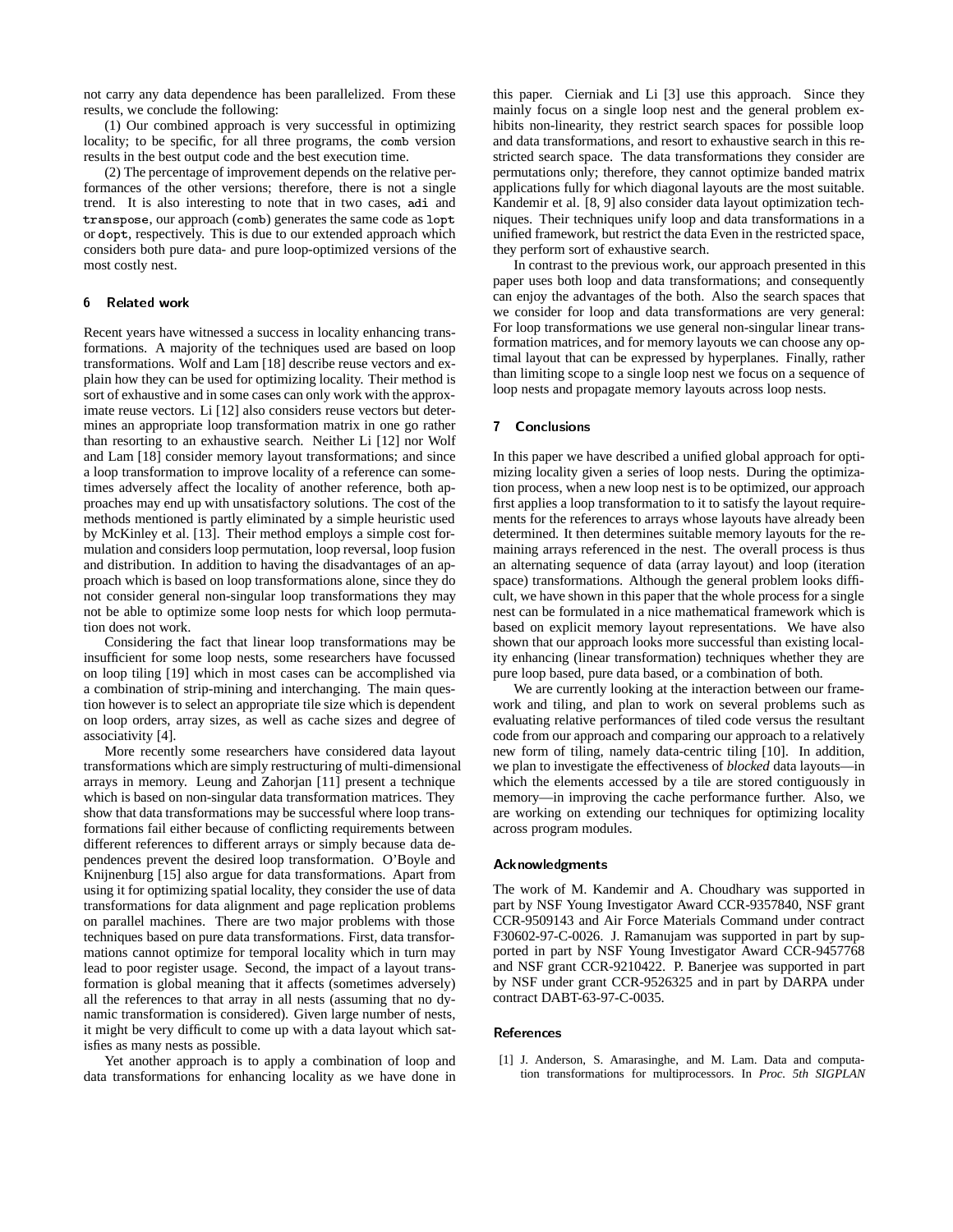not carry any data dependence has been parallelized. From these results, we conclude the following:

(1) Our combined approach is very successful in optimizing locality; to be specific, for all three programs, the comb version results in the best output code and the best execution time.

(2) The percentage of improvement depends on the relative performances of the other versions; therefore, there is not a single trend. It is also interesting to note that in two cases, adi and transpose, our approach (comb) generates the same code as lopt or dopt, respectively. This is due to our extended approach which considers both pure data- and pure loop-optimized versions of the most costly nest.

#### 6 6 Related work

Recent years have witnessed a success in locality enhancing transformations. A majority of the techniques used are based on loop transformations. Wolf and Lam [18] describe reuse vectors and explain how they can be used for optimizing locality. Their method is sort of exhaustive and in some cases can only work with the approximate reuse vectors. Li [12] also considers reuse vectors but determines an appropriate loop transformation matrix in one go rather than resorting to an exhaustive search. Neither Li [12] nor Wolf and Lam [18] consider memory layout transformations; and since a loop transformation to improve locality of a reference can sometimes adversely affect the locality of another reference, both approaches may end up with unsatisfactory solutions. The cost of the methods mentioned is partly eliminated by a simple heuristic used by McKinley et al. [13]. Their method employs a simple cost formulation and considers loop permutation, loop reversal, loop fusion and distribution. In addition to having the disadvantages of an approach which is based on loop transformations alone, since they do not consider general non-singular loop transformations they may not be able to optimize some loop nests for which loop permutation does not work.

Considering the fact that linear loop transformations may be insufficient for some loop nests, some researchers have focussed on loop tiling [19] which in most cases can be accomplished via a combination of strip-mining and interchanging. The main question however is to select an appropriate tile size which is dependent on loop orders, array sizes, as well as cache sizes and degree of associativity [4].

More recently some researchers have considered data layout transformations which are simply restructuring of multi-dimensional arrays in memory. Leung and Zahorjan [11] present a technique which is based on non-singular data transformation matrices. They show that data transformations may be successful where loop transformations fail either because of conflicting requirements between different references to different arrays or simply because data dependences prevent the desired loop transformation. O'Boyle and Knijnenburg [15] also argue for data transformations. Apart from using it for optimizing spatial locality, they consider the use of data transformations for data alignment and page replication problems on parallel machines. There are two major problems with those techniques based on pure data transformations. First, data transformations cannot optimize for temporal locality which in turn may lead to poor register usage. Second, the impact of a layout transformation is global meaning that it affects (sometimes adversely) all the references to that array in all nests (assuming that no dynamic transformation is considered). Given large number of nests, it might be very difficult to come up with a data layout which satisfies as many nests as possible.

Yet another approach is to apply a combination of loop and data transformations for enhancing locality as we have done in this paper. Cierniak and Li [3] use this approach. Since they mainly focus on a single loop nest and the general problem exhibits non-linearity, they restrict search spaces for possible loop and data transformations, and resort to exhaustive search in this restricted search space. The data transformations they consider are permutations only; therefore, they cannot optimize banded matrix applications fully for which diagonal layouts are the most suitable. Kandemir et al. [8, 9] also consider data layout optimization techniques. Their techniques unify loop and data transformations in a unified framework, but restrict the data Even in the restricted space, they perform sort of exhaustive search.

In contrast to the previous work, our approach presented in this paper uses both loop and data transformations; and consequently can enjoy the advantages of the both. Also the search spaces that we consider for loop and data transformations are very general: For loop transformations we use general non-singular linear transformation matrices, and for memory layouts we can choose any optimal layout that can be expressed by hyperplanes. Finally, rather than limiting scope to a single loop nest we focus on a sequence of loop nests and propagate memory layouts across loop nests.

# 7 Conclusions

In this paper we have described a unified global approach for optimizing locality given a series of loop nests. During the optimization process, when a new loop nest is to be optimized, our approach first applies a loop transformation to it to satisfy the layout requirements for the references to arrays whose layouts have already been determined. It then determines suitable memory layouts for the remaining arrays referenced in the nest. The overall process is thus an alternating sequence of data (array layout) and loop (iteration space) transformations. Although the general problem looks difficult, we have shown in this paper that the whole process for a single nest can be formulated in a nice mathematical framework which is based on explicit memory layout representations. We have also shown that our approach looks more successful than existing locality enhancing (linear transformation) techniques whether they are pure loop based, pure data based, or a combination of both.

We are currently looking at the interaction between our framework and tiling, and plan to work on several problems such as evaluating relative performances of tiled code versus the resultant code from our approach and comparing our approach to a relatively new form of tiling, namely data-centric tiling [10]. In addition, we plan to investigate the effectiveness of *blocked* data layouts—in which the elements accessed by a tile are stored contiguously in memory—in improving the cache performance further. Also, we are working on extending our techniques for optimizing locality across program modules.

### Acknowledgments

The work of M. Kandemir and A. Choudhary was supported in part by NSF Young Investigator Award CCR-9357840, NSF grant CCR-9509143 and Air Force Materials Command under contract F30602-97-C-0026. J. Ramanujam was supported in part by supported in part by NSF Young Investigator Award CCR-9457768 and NSF grant CCR-9210422. P. Banerjee was supported in part by NSF under grant CCR-9526325 and in part by DARPA under contract DABT-63-97-C-0035.

#### **References**

[1] J. Anderson, S. Amarasinghe, and M. Lam. Data and computation transformations for multiprocessors. In *Proc. 5th SIGPLAN*